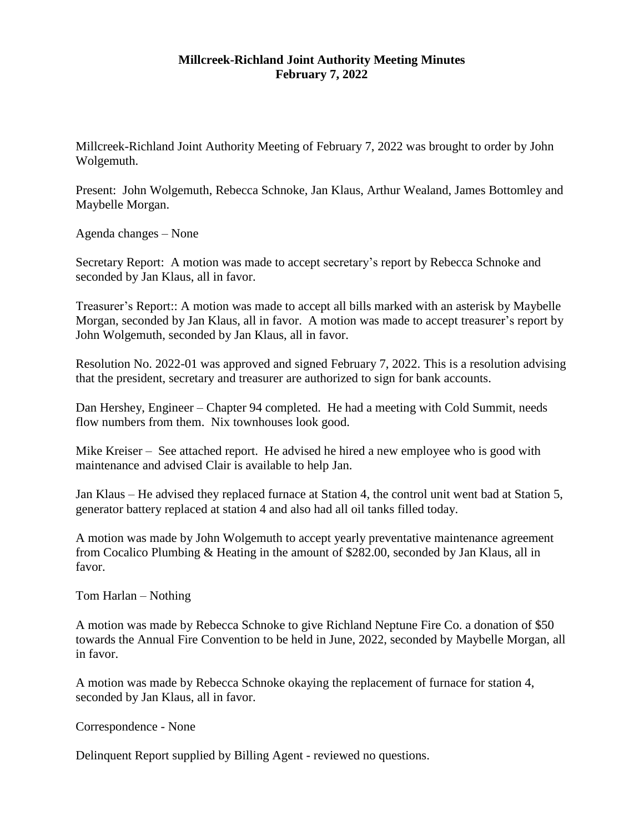## **Millcreek-Richland Joint Authority Meeting Minutes February 7, 2022**

Millcreek-Richland Joint Authority Meeting of February 7, 2022 was brought to order by John Wolgemuth.

Present: John Wolgemuth, Rebecca Schnoke, Jan Klaus, Arthur Wealand, James Bottomley and Maybelle Morgan.

Agenda changes – None

Secretary Report: A motion was made to accept secretary's report by Rebecca Schnoke and seconded by Jan Klaus, all in favor.

Treasurer's Report:: A motion was made to accept all bills marked with an asterisk by Maybelle Morgan, seconded by Jan Klaus, all in favor. A motion was made to accept treasurer's report by John Wolgemuth, seconded by Jan Klaus, all in favor.

Resolution No. 2022-01 was approved and signed February 7, 2022. This is a resolution advising that the president, secretary and treasurer are authorized to sign for bank accounts.

Dan Hershey, Engineer – Chapter 94 completed. He had a meeting with Cold Summit, needs flow numbers from them. Nix townhouses look good.

Mike Kreiser – See attached report. He advised he hired a new employee who is good with maintenance and advised Clair is available to help Jan.

Jan Klaus – He advised they replaced furnace at Station 4, the control unit went bad at Station 5, generator battery replaced at station 4 and also had all oil tanks filled today.

A motion was made by John Wolgemuth to accept yearly preventative maintenance agreement from Cocalico Plumbing & Heating in the amount of \$282.00, seconded by Jan Klaus, all in favor.

Tom Harlan – Nothing

A motion was made by Rebecca Schnoke to give Richland Neptune Fire Co. a donation of \$50 towards the Annual Fire Convention to be held in June, 2022, seconded by Maybelle Morgan, all in favor.

A motion was made by Rebecca Schnoke okaying the replacement of furnace for station 4, seconded by Jan Klaus, all in favor.

Correspondence - None

Delinquent Report supplied by Billing Agent - reviewed no questions.